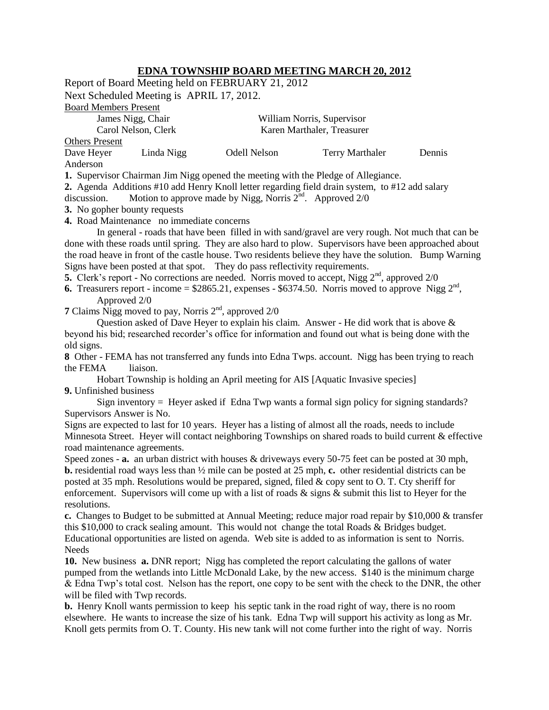## **EDNA TOWNSHIP BOARD MEETING MARCH 20, 2012**

|                                                                                                                                                                                   |                                                                                                         | Report of Board Meeting held on FEBRUARY 21, 2012 |                                                                                                         |        |  |  |
|-----------------------------------------------------------------------------------------------------------------------------------------------------------------------------------|---------------------------------------------------------------------------------------------------------|---------------------------------------------------|---------------------------------------------------------------------------------------------------------|--------|--|--|
| Next Scheduled Meeting is APRIL 17, 2012.                                                                                                                                         |                                                                                                         |                                                   |                                                                                                         |        |  |  |
| <b>Board Members Present</b>                                                                                                                                                      |                                                                                                         |                                                   |                                                                                                         |        |  |  |
| James Nigg, Chair                                                                                                                                                                 |                                                                                                         | William Norris, Supervisor                        |                                                                                                         |        |  |  |
| Carol Nelson, Clerk<br>Karen Marthaler, Treasurer                                                                                                                                 |                                                                                                         |                                                   |                                                                                                         |        |  |  |
| <b>Others Present</b>                                                                                                                                                             |                                                                                                         |                                                   |                                                                                                         |        |  |  |
| Dave Heyer                                                                                                                                                                        | Linda Nigg                                                                                              | <b>Odell Nelson</b>                               | <b>Terry Marthaler</b>                                                                                  | Dennis |  |  |
| Anderson                                                                                                                                                                          |                                                                                                         |                                                   |                                                                                                         |        |  |  |
| 1. Supervisor Chairman Jim Nigg opened the meeting with the Pledge of Allegiance.                                                                                                 |                                                                                                         |                                                   |                                                                                                         |        |  |  |
| 2. Agenda Additions #10 add Henry Knoll letter regarding field drain system, to #12 add salary<br>Motion to approve made by Nigg, Norris $2^{nd}$ . Approved $2/0$<br>discussion. |                                                                                                         |                                                   |                                                                                                         |        |  |  |
| 3. No gopher bounty requests                                                                                                                                                      |                                                                                                         |                                                   |                                                                                                         |        |  |  |
| 4. Road Maintenance no immediate concerns                                                                                                                                         |                                                                                                         |                                                   |                                                                                                         |        |  |  |
| In general - roads that have been filled in with sand/gravel are very rough. Not much that can be                                                                                 |                                                                                                         |                                                   |                                                                                                         |        |  |  |
| done with these roads until spring. They are also hard to plow. Supervisors have been approached about                                                                            |                                                                                                         |                                                   |                                                                                                         |        |  |  |
| the road heave in front of the castle house. Two residents believe they have the solution. Bump Warning                                                                           |                                                                                                         |                                                   |                                                                                                         |        |  |  |
| Signs have been posted at that spot. They do pass reflectivity requirements.                                                                                                      |                                                                                                         |                                                   |                                                                                                         |        |  |  |
| 5. Clerk's report - No corrections are needed. Norris moved to accept, Nigg $2nd$ , approved $2/0$                                                                                |                                                                                                         |                                                   |                                                                                                         |        |  |  |
| <b>6.</b> Treasurers report - income = $$2865.21$ , expenses - $$6374.50$ . Norris moved to approve Nigg $2nd$ ,<br>Approved 2/0                                                  |                                                                                                         |                                                   |                                                                                                         |        |  |  |
| 7 Claims Nigg moved to pay, Norris $2nd$ , approved $2/0$                                                                                                                         |                                                                                                         |                                                   |                                                                                                         |        |  |  |
|                                                                                                                                                                                   |                                                                                                         |                                                   | Question asked of Dave Heyer to explain his claim. Answer - He did work that is above &                 |        |  |  |
|                                                                                                                                                                                   |                                                                                                         |                                                   | beyond his bid; researched recorder's office for information and found out what is being done with the  |        |  |  |
| old signs.                                                                                                                                                                        |                                                                                                         |                                                   |                                                                                                         |        |  |  |
| 8 Other - FEMA has not transferred any funds into Edna Twps. account. Nigg has been trying to reach                                                                               |                                                                                                         |                                                   |                                                                                                         |        |  |  |
| the FEMA<br>liaison.                                                                                                                                                              |                                                                                                         |                                                   |                                                                                                         |        |  |  |
| Hobart Township is holding an April meeting for AIS [Aquatic Invasive species]                                                                                                    |                                                                                                         |                                                   |                                                                                                         |        |  |  |
| 9. Unfinished business                                                                                                                                                            |                                                                                                         |                                                   |                                                                                                         |        |  |  |
|                                                                                                                                                                                   |                                                                                                         |                                                   | Sign inventory = Heyer asked if Edna Twp wants a formal sign policy for signing standards?              |        |  |  |
| Supervisors Answer is No.                                                                                                                                                         |                                                                                                         |                                                   |                                                                                                         |        |  |  |
| Signs are expected to last for 10 years. Heyer has a listing of almost all the roads, needs to include                                                                            |                                                                                                         |                                                   |                                                                                                         |        |  |  |
| Minnesota Street. Heyer will contact neighboring Townships on shared roads to build current & effective                                                                           |                                                                                                         |                                                   |                                                                                                         |        |  |  |
| road maintenance agreements.<br>Speed zones - a. an urban district with houses & driveways every 50-75 feet can be posted at 30 mph,                                              |                                                                                                         |                                                   |                                                                                                         |        |  |  |
| <b>b.</b> residential road ways less than $\frac{1}{2}$ mile can be posted at 25 mph, c. other residential districts can be                                                       |                                                                                                         |                                                   |                                                                                                         |        |  |  |
| posted at 35 mph. Resolutions would be prepared, signed, filed & copy sent to O. T. Cty sheriff for                                                                               |                                                                                                         |                                                   |                                                                                                         |        |  |  |
| enforcement. Supervisors will come up with a list of roads $\&$ signs $\&$ submit this list to Heyer for the                                                                      |                                                                                                         |                                                   |                                                                                                         |        |  |  |
| resolutions.                                                                                                                                                                      |                                                                                                         |                                                   |                                                                                                         |        |  |  |
|                                                                                                                                                                                   |                                                                                                         |                                                   | c. Changes to Budget to be submitted at Annual Meeting; reduce major road repair by \$10,000 & transfer |        |  |  |
| this \$10,000 to crack sealing amount. This would not change the total Roads & Bridges budget.                                                                                    |                                                                                                         |                                                   |                                                                                                         |        |  |  |
| Educational opportunities are listed on agenda. Web site is added to as information is sent to Norris.                                                                            |                                                                                                         |                                                   |                                                                                                         |        |  |  |
| Needs                                                                                                                                                                             |                                                                                                         |                                                   |                                                                                                         |        |  |  |
| 10. New business a. DNR report; Nigg has completed the report calculating the gallons of water                                                                                    |                                                                                                         |                                                   |                                                                                                         |        |  |  |
| pumped from the wetlands into Little McDonald Lake, by the new access. \$140 is the minimum charge                                                                                |                                                                                                         |                                                   |                                                                                                         |        |  |  |
| & Edna Twp's total cost. Nelson has the report, one copy to be sent with the check to the DNR, the other                                                                          |                                                                                                         |                                                   |                                                                                                         |        |  |  |
| will be filed with Twp records.<br><b>b.</b> Henry Knoll wants permission to keep his septic tank in the road right of way, there is no room                                      |                                                                                                         |                                                   |                                                                                                         |        |  |  |
|                                                                                                                                                                                   |                                                                                                         |                                                   |                                                                                                         |        |  |  |
|                                                                                                                                                                                   | elsewhere. He wants to increase the size of his tank. Edna Twp will support his activity as long as Mr. |                                                   |                                                                                                         |        |  |  |
| Knoll gets permits from O. T. County. His new tank will not come further into the right of way. Norris                                                                            |                                                                                                         |                                                   |                                                                                                         |        |  |  |